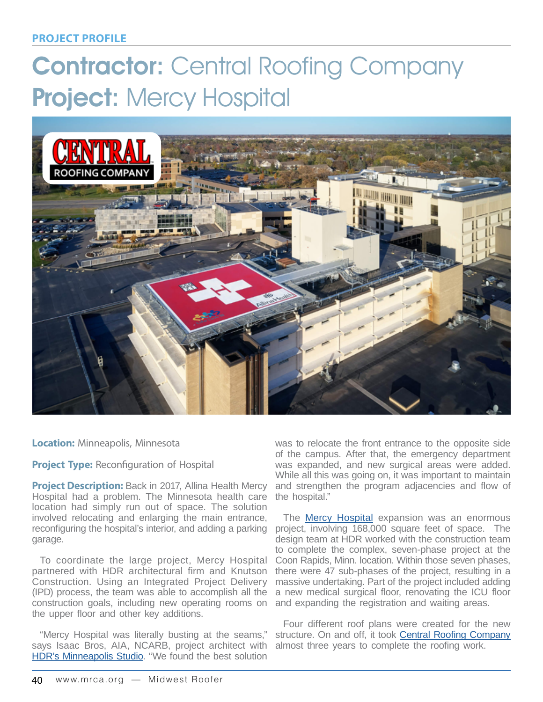# Contractor: Central Roofing Company Project: Mercy Hospital



**Location:** Minneapolis, Minnesota

**Project Type:** Reconfiguration of Hospital

**Project Description:** Back in 2017, Allina Health Mercy Hospital had a problem. The Minnesota health care location had simply run out of space. The solution involved relocating and enlarging the main entrance, garage.

To coordinate the large project, Mercy Hospital partnered with HDR architectural firm and Knutson Construction. Using an Integrated Project Delivery (IPD) process, the team was able to accomplish all the construction goals, including new operating rooms on and expanding the registration and waiting areas. the upper floor and other key additions.

"Mercy Hospital was literally busting at the seams," says Isaac Bros, AIA, NCARB, project architect with almost three years to complete the roofing work. [HDR's Minneapolis Studio](https://www.hdrinc.com/locations/US/Minnesota/Minneapolis). "We found the best solution

was to relocate the front entrance to the opposite side of the campus. After that, the emergency department was expanded, and new surgical areas were added. While all this was going on, it was important to maintain and strengthen the program adjacencies and flow of the hospital."

reconfiguring the hospital's interior, and adding a parking project, involving 168,000 square feet of space. The The [Mercy Hospital](https://www.allinahealth.org/mercy-hospital) expansion was an enormous design team at HDR worked with the construction team to complete the complex, seven-phase project at the Coon Rapids, Minn. location. Within those seven phases, there were 47 sub-phases of the project, resulting in a massive undertaking. Part of the project included adding a new medical surgical floor, renovating the ICU floor

> Four different roof plans were created for the new structure. On and off, it took [Central Roofing Company](https://www.centralroofing.com)